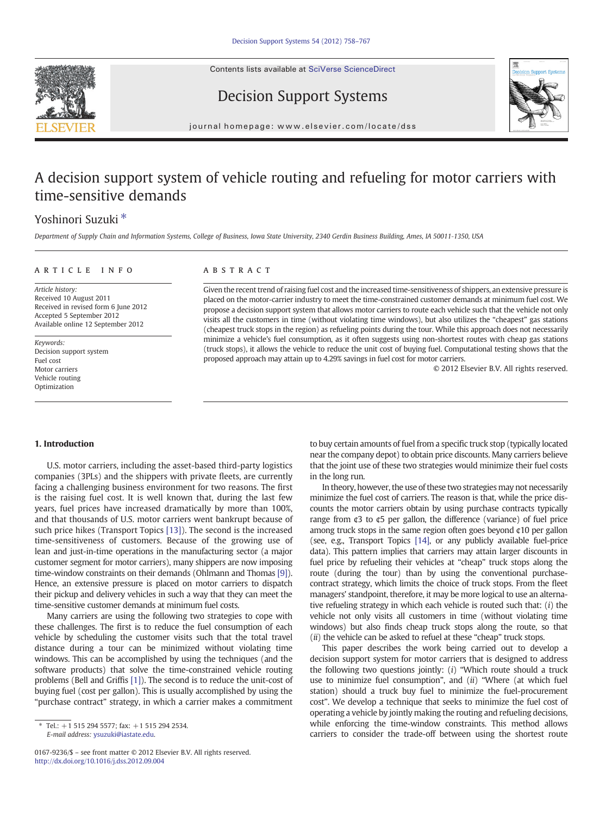Contents lists available at [SciVerse ScienceDirect](http://www.sciencedirect.com/science/journal/01679236)





Decision Support Systems

journal homepage: www.elsevier.com/locate/dss

## A decision support system of vehicle routing and refueling for motor carriers with time-sensitive demands

### Yoshinori Suzuki<sup>\*</sup>

Department of Supply Chain and Information Systems, College of Business, Iowa State University, 2340 Gerdin Business Building, Ames, IA 50011‐1350, USA

### ARTICLE INFO ABSTRACT

Article history: Received 10 August 2011 Received in revised form 6 June 2012 Accepted 5 September 2012 Available online 12 September 2012

Keywords: Decision support system Fuel cost Motor carriers Vehicle routing Optimization

Given the recent trend of raising fuel cost and the increased time-sensitiveness of shippers, an extensive pressure is placed on the motor-carrier industry to meet the time-constrained customer demands at minimum fuel cost. We propose a decision support system that allows motor carriers to route each vehicle such that the vehicle not only visits all the customers in time (without violating time windows), but also utilizes the "cheapest" gas stations (cheapest truck stops in the region) as refueling points during the tour. While this approach does not necessarily minimize a vehicle's fuel consumption, as it often suggests using non-shortest routes with cheap gas stations (truck stops), it allows the vehicle to reduce the unit cost of buying fuel. Computational testing shows that the proposed approach may attain up to 4.29% savings in fuel cost for motor carriers.

© 2012 Elsevier B.V. All rights reserved.

#### 1. Introduction

U.S. motor carriers, including the asset-based third-party logistics companies (3PLs) and the shippers with private fleets, are currently facing a challenging business environment for two reasons. The first is the raising fuel cost. It is well known that, during the last few years, fuel prices have increased dramatically by more than 100%, and that thousands of U.S. motor carriers went bankrupt because of such price hikes (Transport Topics [\[13\]](#page--1-0)). The second is the increased time-sensitiveness of customers. Because of the growing use of lean and just-in-time operations in the manufacturing sector (a major customer segment for motor carriers), many shippers are now imposing time-window constraints on their demands (Ohlmann and Thomas [\[9\]\)](#page--1-0). Hence, an extensive pressure is placed on motor carriers to dispatch their pickup and delivery vehicles in such a way that they can meet the time-sensitive customer demands at minimum fuel costs.

Many carriers are using the following two strategies to cope with these challenges. The first is to reduce the fuel consumption of each vehicle by scheduling the customer visits such that the total travel distance during a tour can be minimized without violating time windows. This can be accomplished by using the techniques (and the software products) that solve the time-constrained vehicle routing problems (Bell and Griffis [\[1\]](#page--1-0)). The second is to reduce the unit-cost of buying fuel (cost per gallon). This is usually accomplished by using the "purchase contract" strategy, in which a carrier makes a commitment

E-mail address: [ysuzuki@iastate.edu.](mailto:ysuzuki@iastate.edu)

to buy certain amounts of fuel from a specific truck stop (typically located near the company depot) to obtain price discounts. Many carriers believe that the joint use of these two strategies would minimize their fuel costs in the long run.

In theory, however, the use of these two strategies may not necessarily minimize the fuel cost of carriers. The reason is that, while the price discounts the motor carriers obtain by using purchase contracts typically range from ¢3 to ¢5 per gallon, the difference (variance) of fuel price among truck stops in the same region often goes beyond ¢10 per gallon (see, e.g., Transport Topics [\[14\],](#page--1-0) or any publicly available fuel-price data). This pattern implies that carriers may attain larger discounts in fuel price by refueling their vehicles at "cheap" truck stops along the route (during the tour) than by using the conventional purchasecontract strategy, which limits the choice of truck stops. From the fleet managers' standpoint, therefore, it may be more logical to use an alternative refueling strategy in which each vehicle is routed such that:  $(i)$  the vehicle not only visits all customers in time (without violating time windows) but also finds cheap truck stops along the route, so that  $(ii)$  the vehicle can be asked to refuel at these "cheap" truck stops.

This paper describes the work being carried out to develop a decision support system for motor carriers that is designed to address the following two questions jointly: (i) "Which route should a truck use to minimize fuel consumption", and  $(ii)$  "Where (at which fuel station) should a truck buy fuel to minimize the fuel-procurement cost". We develop a technique that seeks to minimize the fuel cost of operating a vehicle by jointly making the routing and refueling decisions, while enforcing the time-window constraints. This method allows carriers to consider the trade-off between using the shortest route

 $*$  Tel.: +1 515 294 5577; fax: +1 515 294 2534.

<sup>0167-9236/\$</sup> – see front matter © 2012 Elsevier B.V. All rights reserved. <http://dx.doi.org/10.1016/j.dss.2012.09.004>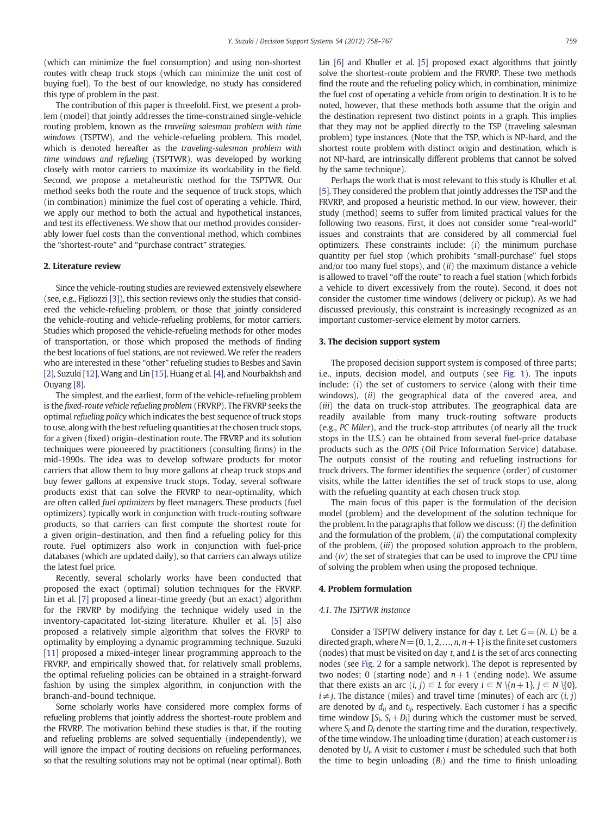(which can minimize the fuel consumption) and using non-shortest routes with cheap truck stops (which can minimize the unit cost of buying fuel). To the best of our knowledge, no study has considered this type of problem in the past.

The contribution of this paper is threefold. First, we present a problem (model) that jointly addresses the time-constrained single-vehicle routing problem, known as the traveling salesman problem with time windows (TSPTW), and the vehicle-refueling problem. This model, which is denoted hereafter as the traveling-salesman problem with time windows and refueling (TSPTWR), was developed by working closely with motor carriers to maximize its workability in the field. Second, we propose a metaheuristic method for the TSPTWR. Our method seeks both the route and the sequence of truck stops, which (in combination) minimize the fuel cost of operating a vehicle. Third, we apply our method to both the actual and hypothetical instances, and test its effectiveness. We show that our method provides considerably lower fuel costs than the conventional method, which combines the "shortest-route" and "purchase contract" strategies.

#### 2. Literature review

Since the vehicle-routing studies are reviewed extensively elsewhere (see, e.g., Figliozzi [\[3\]](#page--1-0)), this section reviews only the studies that considered the vehicle-refueling problem, or those that jointly considered the vehicle-routing and vehicle-refueling problems, for motor carriers. Studies which proposed the vehicle-refueling methods for other modes of transportation, or those which proposed the methods of finding the best locations of fuel stations, are not reviewed. We refer the readers who are interested in these "other" refueling studies to Besbes and Savin [\[2\]](#page--1-0), Suzuki [\[12\],](#page--1-0) Wang and Lin [\[15\],](#page--1-0) Huang et al. [\[4\],](#page--1-0) and Nourbakhsh and Ouyang [\[8\]](#page--1-0).

The simplest, and the earliest, form of the vehicle-refueling problem is the fixed-route vehicle refueling problem (FRVRP). The FRVRP seeks the optimal refueling policy which indicates the best sequence of truck stops to use, along with the best refueling quantities at the chosen truck stops, for a given (fixed) origin–destination route. The FRVRP and its solution techniques were pioneered by practitioners (consulting firms) in the mid-1990s. The idea was to develop software products for motor carriers that allow them to buy more gallons at cheap truck stops and buy fewer gallons at expensive truck stops. Today, several software products exist that can solve the FRVRP to near-optimality, which are often called fuel optimizers by fleet managers. These products (fuel optimizers) typically work in conjunction with truck-routing software products, so that carriers can first compute the shortest route for a given origin–destination, and then find a refueling policy for this route. Fuel optimizers also work in conjunction with fuel-price databases (which are updated daily), so that carriers can always utilize the latest fuel price.

Recently, several scholarly works have been conducted that proposed the exact (optimal) solution techniques for the FRVRP. Lin et al. [\[7\]](#page--1-0) proposed a linear-time greedy (but an exact) algorithm for the FRVRP by modifying the technique widely used in the inventory-capacitated lot-sizing literature. Khuller et al. [\[5\]](#page--1-0) also proposed a relatively simple algorithm that solves the FRVRP to optimality by employing a dynamic programming technique. Suzuki [\[11\]](#page--1-0) proposed a mixed-integer linear programming approach to the FRVRP, and empirically showed that, for relatively small problems, the optimal refueling policies can be obtained in a straight-forward fashion by using the simplex algorithm, in conjunction with the branch-and-bound technique.

Some scholarly works have considered more complex forms of refueling problems that jointly address the shortest-route problem and the FRVRP. The motivation behind these studies is that, if the routing and refueling problems are solved sequentially (independently), we will ignore the impact of routing decisions on refueling performances, so that the resulting solutions may not be optimal (near optimal). Both

Lin [\[6\]](#page--1-0) and Khuller et al. [\[5\]](#page--1-0) proposed exact algorithms that jointly solve the shortest-route problem and the FRVRP. These two methods find the route and the refueling policy which, in combination, minimize the fuel cost of operating a vehicle from origin to destination. It is to be noted, however, that these methods both assume that the origin and the destination represent two distinct points in a graph. This implies that they may not be applied directly to the TSP (traveling salesman problem) type instances. (Note that the TSP, which is NP-hard, and the shortest route problem with distinct origin and destination, which is not NP-hard, are intrinsically different problems that cannot be solved by the same technique).

Perhaps the work that is most relevant to this study is Khuller et al. [\[5\]](#page--1-0). They considered the problem that jointly addresses the TSP and the FRVRP, and proposed a heuristic method. In our view, however, their study (method) seems to suffer from limited practical values for the following two reasons. First, it does not consider some "real-world" issues and constraints that are considered by all commercial fuel optimizers. These constraints include: (i) the minimum purchase quantity per fuel stop (which prohibits "small-purchase" fuel stops and/or too many fuel stops), and  $(ii)$  the maximum distance a vehicle is allowed to travel "off the route" to reach a fuel station (which forbids a vehicle to divert excessively from the route). Second, it does not consider the customer time windows (delivery or pickup). As we had discussed previously, this constraint is increasingly recognized as an important customer-service element by motor carriers.

#### 3. The decision support system

The proposed decision support system is composed of three parts; i.e., inputs, decision model, and outputs (see [Fig. 1](#page--1-0)). The inputs include: (*i*) the set of customers to service (along with their time windows), (*ii*) the geographical data of the covered area, and (*iii*) the data on truck-stop attributes. The geographical data are readily available from many truck-routing software products (e.g., PC Miler), and the truck-stop attributes (of nearly all the truck stops in the U.S.) can be obtained from several fuel-price database products such as the OPIS (Oil Price Information Service) database. The outputs consist of the routing and refueling instructions for truck drivers. The former identifies the sequence (order) of customer visits, while the latter identifies the set of truck stops to use, along with the refueling quantity at each chosen truck stop.

The main focus of this paper is the formulation of the decision model (problem) and the development of the solution technique for the problem. In the paragraphs that follow we discuss:  $(i)$  the definition and the formulation of the problem,  $(ii)$  the computational complexity of the problem, (iii) the proposed solution approach to the problem, and  $(iv)$  the set of strategies that can be used to improve the CPU time of solving the problem when using the proposed technique.

#### 4. Problem formulation

#### 4.1. The TSPTWR instance

Consider a TSPTW delivery instance for day t. Let  $G=(N, L)$  be a directed graph, where  $N = \{0, 1, 2, ..., n, n+1\}$  is the finite set customers (nodes) that must be visited on day  $t$ , and  $L$  is the set of arcs connecting nodes (see [Fig. 2](#page--1-0) for a sample network). The depot is represented by two nodes; 0 (starting node) and  $n+1$  (ending node). We assume that there exists an arc  $(i, j) \in L$  for every  $i \in N \setminus \{n+1\}$ ,  $j \in N \setminus \{0\}$ ,  $i \neq j$ . The distance (miles) and travel time (minutes) of each arc  $(i, j)$ are denoted by  $d_{ij}$  and  $t_{ij}$ , respectively. Each customer *i* has a specific time window  $[S_i, S_i + D_i]$  during which the customer must be served, where  $S_i$  and  $D_i$  denote the starting time and the duration, respectively, of the time window. The unloading time (duration) at each customer i is denoted by  $U_i$ . A visit to customer *i* must be scheduled such that both the time to begin unloading  $(B_i)$  and the time to finish unloading